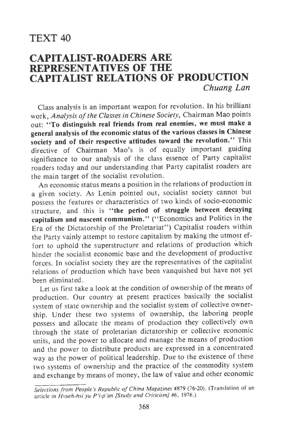## TEXT 40

## CAPITALIST.ROADERS ARE REPRESENTATIVES OF THE CAPITALIST RELATIONS OF PRODUCTION Chuang Lan

Class analysis is an important weapon for revolution, In his brilliant work, Analysis of the Classes in Chinese Society, Chairman Mao points out: "To distinguish real friends from real enemies, we must make <sup>a</sup> general analysis of the economic status of the various classes in chinese society and of their respective attitudes toward the revolution." This directive of Chairman Mao's is of equally important guiding significance to our analysis of the class essence of Party capitalist roaders today and our understanding that Party capitalist roaders are the main target of the socialist revolution.

An economic status means a position in the relations of production in a given society. As Lenin pointed out, socialist society cannot but possess the features or characteristics of two kinds of socio-economic structure, and this is "the period of struggle between decaying capitalism and nascent communism." ("Economics and Politics in the Era of the Dictatorship of the Proletariat") Capitalist roaders within the Party vainly attempt to restore capitalism by making the utmost effort to uphold the superstructure and relations of production which hinder the socialist economic base and the development of productive forces. In socialist society they are the representatives of the capitalist relations of production which have been vanquished but have not yet been eliminated.

Let us first take a look at the condition of ownership of the means of production. Our country at present practices basically the socialist system of state ownership and the socialist system of collective ownership. Under these two systems of ownership, the laboring people possess and allocate the means of production they collectively own through the state of proletarian dictatorship or collective economic units, and the power to allocate and manage the means of production and the power to distribute products are expressed in a concentrated way as the power of political leadership. Due to the existence of these two systems of ownership and the practice of the commodity system and exchange by means of money, the law of value and other economic

Selections from People's Republic of China Magazines #879 (76-20). (Translation of an article in Hsueh-hsi yu P'i-p'an [Study and Criticism] #6, 1976.)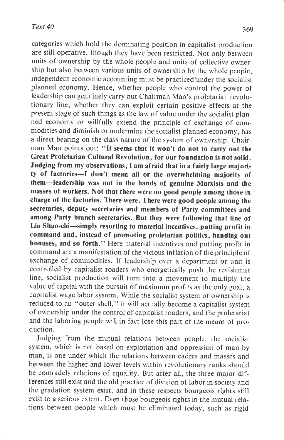categories which hold the dominating position in capitalist production are still operative, though they have been restricted. Not only between units of ownership by the whole people and units of collective ownership but also between various units of ownership by the whole people, independent economic accounting must be practiced'under the socialist planned economy. Hence, whether people who control the power of leadership can genuinely carry out Chairman Mao's proletarian revolutionary line, whether they can exploit certain positive effects at the present stage of such things as the law of value under the socialist planned economy or willfully extend the principle of exchange of commodities and diminish or undermine the socialist planned economy, has a direct bearing on the class nature of the system of ownership. Chairman Mao points out: "It seems that it won't do not to carry out the Great Proletarian Cultural Revolution, for our foundation is not solid. Judging from my observations, I am afraid that in a fairly large majority of factories-I don't mean all or the overwhelming majority of them-leadership was not in the hands of genuine Marxists and the masses of workers. Not that there were no good people among those in charge of the factories. There were. There were good people among the secretaries, deputy secretaries and members of Party committees and among Party branch secretaries. But they were following that line of Liu Shao-chi-simply resorting to material incentives, putting profit in command and, instead of promoting proletarian politics, handing out bonuses, and so forth." Here material incentives and putting profit in command are a manifestation of the vicious inflation of the principle of exchange of commodities. If leadership over a department or unit is controlled by capitalist roaders who energetically push the revisionist line, socialist production will turn into a movement to multiply the value of capital with the pursuit of maximum profits as the only goal, <sup>a</sup> capitalist wage labor system. While the socialist system of ownership is reduced to an "outer shell," it will actually become a capitalist system of ownership under the control of capitalist roaders, and the proletariat and the laboring people will in fact lose this part of the means of production.

Judging from the mutual relations between people, the socialist system, which is not based on exploitation and oppression of man by man, is one under which the relations between cadres and masses and between the higher and lower levels within revolutionary ranks should be comradely relations of equality. But after all, the three major differences still exist and the old practice of division of labor in society and the gradation system exist, and in these respects bourgeois rights still exist to a serious extent. Even those bourgeois rights in the mutual relations between people which must be eliminated today, such as rigid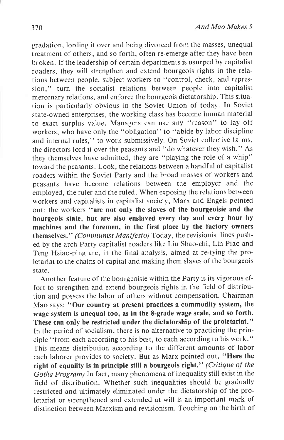gradation, lording it over and being divorced from the masses, unequal treatment of others, and so forth, often re-emerge after they have been broken, If the leadership of certain departments is usurped by capitalist roaders, they will strengthen and extend bourgeois rights in the relations between people, subject workers to "control, check, and repression," turn the socialist relations between people into capitalist mercenary relations, and enforce the bourgeois dictatorship. This situation is particularly obvious in the Soviet Union of today. In Soviet state-owned enterprises, the working class has become human material to exact surplus value. Managers can use any "reason" to lay off workers, who have only the "obligation" to "abide by labor discipline and internal rules," to work submissively. On Soviet collective farms, the directors lord it over the peasants and "do whatever they wish." As they themselves have admitted, they are "playing the role of a whip" toward the peasants. Look, the relations between a handful of capitalist roaders within the Soviet Party and the broad masses of workers and peasants have become relations between the employer and the employed, the ruler and the ruled. When exposing the relations between workers and capitalists in capitalist society, Marx and Engels pointed out: the workers "are not only the slaves of the bourgeoisie and the bourgeois state, but are also enslaved every day and every hour by machines and the foremen, in the first place by the factory owners themselves." (Communist Manifesto) Today, the revisionist lines pushed by the arch Party capitalist roaders like Liu Shao-chi, Lin Piao and Teng Hsiao-ping are, in the final analysis, aimed at re-tying the proletariat to the chains of capital and making them slaves of the bourgeois state.

Another feature of the bourgeoisie within the Party is its vigorous effort to strengthen and extend bourgeois rights in the field of distribution and possess the labor of others without compensation. Chairman Mao says: "Our country at present practices a commodity system, the wage system is unequal too, as in the 8-grade wage scale, and so forth. These can only be restricted under the dictatorship of the proletariat." In the period of socialism, there is no alternative to practicing the principle "from each according to his best, to each according to his work. " This means distribution according to the different amounts of labor each laborer provides to society. But as Marx pointed out, "Here the right of equality is in principle still a bourgeois right." (Critique of the Gotha Program) In fact, many phenomena of inequality still exist in the field of distribution. Whether such inequalities should be gradually restricted and ultimately eliminated under the dictatorship of the proletariat or strengthened and extended at will is an important mark of distinction between Marxism and revisionism. Touching on the birth of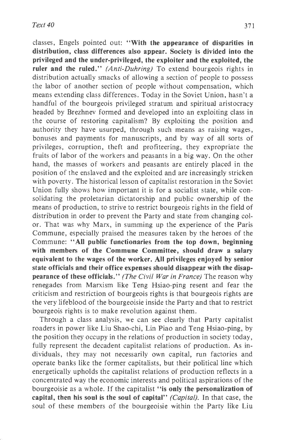classes, Engels pointed out: "With the appearance of disparities in distribution, class differences also appear. Society is divided into the privileged and the under-privileged, the exploiter and the exploited, the ruler and the ruled." (Anti-Duhring) To extend bourgeois rights in distribution actually smacks of allowing a section of people to possess the labor of another section of people without compensation, which means extending class differences. Today in the Soviet Union, hasn't a handful of the bourgeois privileged stratum and spiritual aristocracy headed by Brezhnev formed and developed into an exploiting class in the course of restoring capitalism? By exploiting the position and authority they have usurped, through such means as raising wages, bonuses and payments for manuscripts, and by way of all sorts of privileges, corruption, theft and profiteering, they expropriate the fruits of labor of the workers and peasants in a big way. On the other hand, the masses of workers and peasants are entirely placed in the position of the enslaved and the exploited and are increasingly stricken with poverty. The historical lesson of capitalist restoration in the Soviet Union fully shows how important it is for a socialist state, while consolidating the proletarian dictatorship and public ownership of the means of production, to strive to restrict bourgeois rights in the field of distribution in order to prevent the Party and state from changing color. That was why Marx, in summing up the experience of the Paris Commune, especially praised the measures taken by the heroes of the Commune: "All public functionaries from the top down, beginning with members of the Commune Committee, should draw a salary equivalent to the wages of the worker. All privileges enjoyed by senior state officials and their office expenses should disappear with the disappearance of these officials." (The Civil War in France) The reason why renegades from Marxism like Teng Hsiao-ping resent and fear the criticism and restriction of bourgeois rights is that bourgeois rights are the very iifeblood of the bourgeoisie inside the Party and that to restrict bourgeois rights is to make revolution against them.

Through a class analysis, we can see clearly that Party capitalist roaders in power like Liu Shao-chi, Lin Piao and Teng Hsiao-ping, by the position they occupy in the relations of production in society today, fully represent the decadent capitalist relations of production. As individuals, they may not necessarily own capital, run factories and operate banks like the former capitalists, but their political line which energetically upholds the capitalist relations of production reflects in <sup>a</sup> concentrated way the economic interests and political aspirations of the bourgeoisie as a whole. If the capitalist "is only the personalization of capital, then his soul is the soul of capital" (Capital). In that case, the soul of these members of the bourgeoisie within the Party like Liu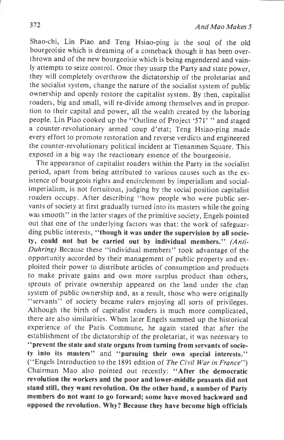Shao-chi, Lin Piao and Teng Hsiao-ping is the soul of the old bourgeoisie which is dreaming of a comeback though it has been overthrown and of the new bourgeoisie which is being engendered and vainly attempts to seize control. Once they usurp the Party and state power, they will completely overthrow the dictatorship of the proletariat and the socialist system, change the nature of the socialist system of public ownership and openly restore the capitalist system. By then, capitalist roaders, big and small, will re-divide among themselves and in proportion to their capital and power, all the wealth created by the laboring people. Lin Piao cooked up the "Outline of Project '571' " and staged a counter-revolutionary armed coup d'etat; Teng Hsiao-ping made every effort to promote restoration and reverse verdicts and engineered the counter-revolutionary political incident at Tienanmen Square. This exposed in a big way the reactionary essence of the bourgeoisie.

The appearance of capitalist roaders within the Party in the socialist period, apart from being attributed to various causes such as the existence of bourgeois rights and encirclement by imperialism and socialimperialism, is not fortuitous, judging by the social position capitalist roaders occupy. After describing "how people who were public servants of society at first gradually turned into its masters while the going was smooth" in the latter stages of the primitive society, Engels pointed out that one of the underlying factors was that: the work of safeguarding public interests, "though it was under the supervision by all society, could not but be carried out by individual members." (Anti-Duhring) Because these "individual members" took advantage of the opportunity accorded by their management of public property and exploited their power to distribute articles of consumption and products to make private gains and own more surplus product than others, sprouts of private ownership appeared on the land under the clan system of public ownership and, as a result, those who were originally "servants" of society became rulers enjoying all sorts of privileges. Although the birth of capitalist roaders is much more complicated, there are also similarities. When later Engels summed up the historical experience of the Paris Commune, he again stated that after the establishment of the dictatorship of the proletariat, it was necessary to "prevent the state and state organs from turning from servants of society into its masters" and "pursuing their own special interests." ("Engels Introduction to the l89l edition of The Civil War in France") Chairman Mao also pointed out recently: "After the democratic revolution the workers and the poor and lower-middle peasants did not stand still, they want revolution. On the other hand, a number of Party members do not want to go forward; some have moved backward and opposed the revolution. Why? Because they have become high officials